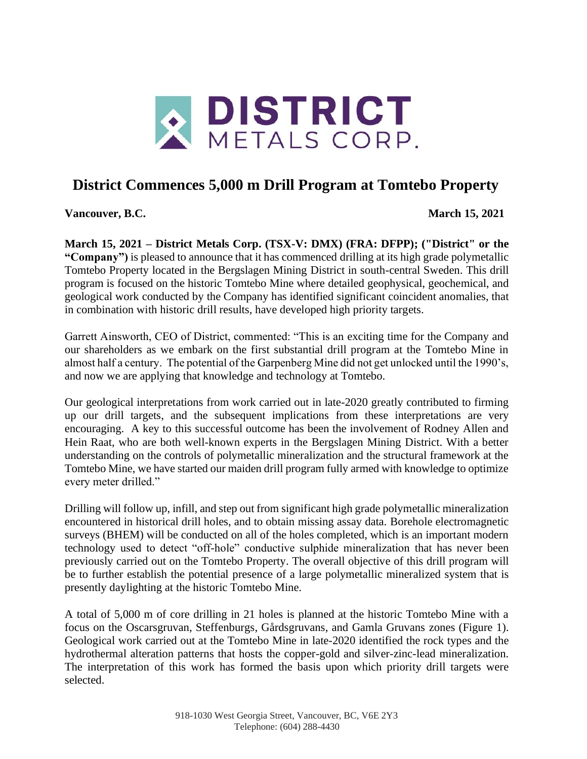

## **District Commences 5,000 m Drill Program at Tomtebo Property**

**Vancouver, B.C. March 15, 2021**

**March 15, 2021 – District Metals Corp. (TSX-V: DMX) (FRA: DFPP); ("District" or the "Company")** is pleased to announce that it has commenced drilling at its high grade polymetallic Tomtebo Property located in the Bergslagen Mining District in south-central Sweden. This drill program is focused on the historic Tomtebo Mine where detailed geophysical, geochemical, and geological work conducted by the Company has identified significant coincident anomalies, that in combination with historic drill results, have developed high priority targets.

Garrett Ainsworth, CEO of District, commented: "This is an exciting time for the Company and our shareholders as we embark on the first substantial drill program at the Tomtebo Mine in almost half a century. The potential of the Garpenberg Mine did not get unlocked until the 1990's, and now we are applying that knowledge and technology at Tomtebo.

Our geological interpretations from work carried out in late-2020 greatly contributed to firming up our drill targets, and the subsequent implications from these interpretations are very encouraging. A key to this successful outcome has been the involvement of Rodney Allen and Hein Raat, who are both well-known experts in the Bergslagen Mining District. With a better understanding on the controls of polymetallic mineralization and the structural framework at the Tomtebo Mine, we have started our maiden drill program fully armed with knowledge to optimize every meter drilled."

Drilling will follow up, infill, and step out from significant high grade polymetallic mineralization encountered in historical drill holes, and to obtain missing assay data. Borehole electromagnetic surveys (BHEM) will be conducted on all of the holes completed, which is an important modern technology used to detect "off-hole" conductive sulphide mineralization that has never been previously carried out on the Tomtebo Property. The overall objective of this drill program will be to further establish the potential presence of a large polymetallic mineralized system that is presently daylighting at the historic Tomtebo Mine.

A total of 5,000 m of core drilling in 21 holes is planned at the historic Tomtebo Mine with a focus on the Oscarsgruvan, Steffenburgs, Gårdsgruvans, and Gamla Gruvans zones (Figure 1). Geological work carried out at the Tomtebo Mine in late-2020 identified the rock types and the hydrothermal alteration patterns that hosts the copper-gold and silver-zinc-lead mineralization. The interpretation of this work has formed the basis upon which priority drill targets were selected.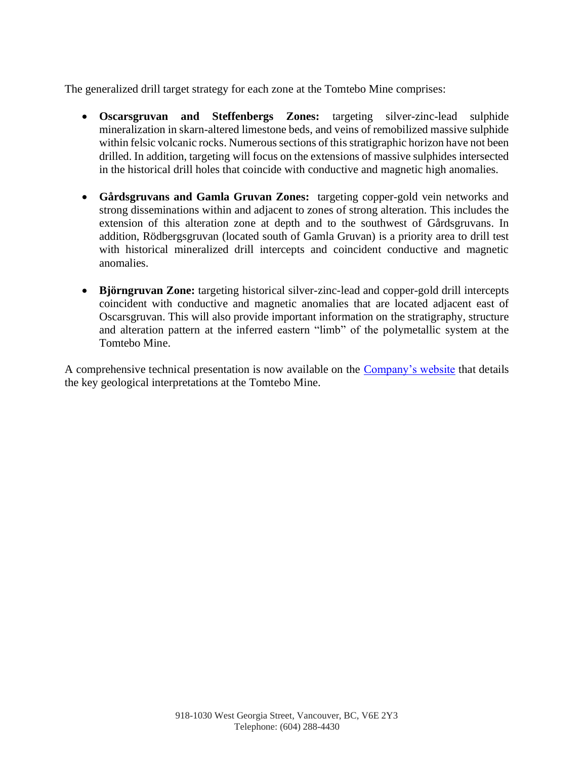The generalized drill target strategy for each zone at the Tomtebo Mine comprises:

- **Oscarsgruvan and Steffenbergs Zones:** targeting silver-zinc-lead sulphide mineralization in skarn-altered limestone beds, and veins of remobilized massive sulphide within felsic volcanic rocks. Numerous sections of this stratigraphic horizon have not been drilled. In addition, targeting will focus on the extensions of massive sulphides intersected in the historical drill holes that coincide with conductive and magnetic high anomalies.
- **Gårdsgruvans and Gamla Gruvan Zones:** targeting copper-gold vein networks and strong disseminations within and adjacent to zones of strong alteration. This includes the extension of this alteration zone at depth and to the southwest of Gårdsgruvans. In addition, Rödbergsgruvan (located south of Gamla Gruvan) is a priority area to drill test with historical mineralized drill intercepts and coincident conductive and magnetic anomalies.
- **Björngruvan Zone:** targeting historical silver-zinc-lead and copper-gold drill intercepts coincident with conductive and magnetic anomalies that are located adjacent east of Oscarsgruvan. This will also provide important information on the stratigraphy, structure and alteration pattern at the inferred eastern "limb" of the polymetallic system at the Tomtebo Mine.

A comprehensive technical presentation is now available on the [Company's website](https://www.districtmetals.com/investors/corporate-presentation/) that details the key geological interpretations at the Tomtebo Mine.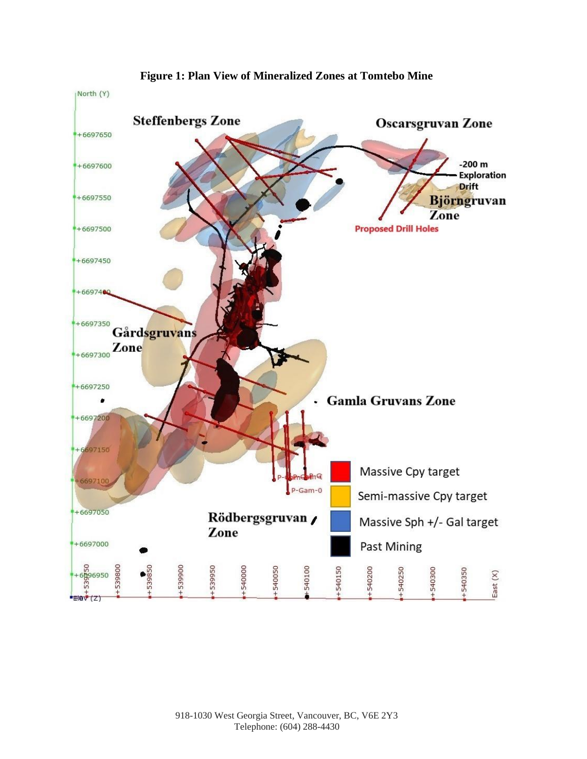

**Figure 1: Plan View of Mineralized Zones at Tomtebo Mine**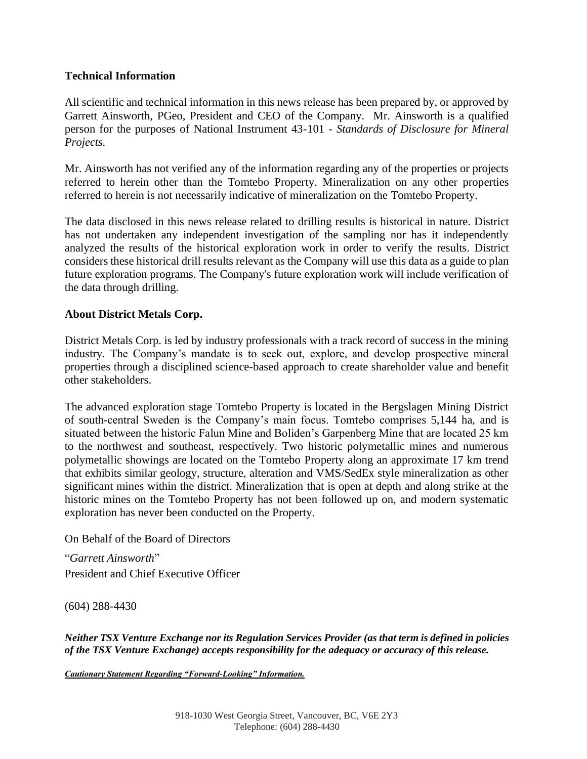## **Technical Information**

All scientific and technical information in this news release has been prepared by, or approved by Garrett Ainsworth, PGeo, President and CEO of the Company. Mr. Ainsworth is a qualified person for the purposes of National Instrument 43-101 - *Standards of Disclosure for Mineral Projects.*

Mr. Ainsworth has not verified any of the information regarding any of the properties or projects referred to herein other than the Tomtebo Property. Mineralization on any other properties referred to herein is not necessarily indicative of mineralization on the Tomtebo Property.

The data disclosed in this news release related to drilling results is historical in nature. District has not undertaken any independent investigation of the sampling nor has it independently analyzed the results of the historical exploration work in order to verify the results. District considers these historical drill results relevant as the Company will use this data as a guide to plan future exploration programs. The Company's future exploration work will include verification of the data through drilling.

## **About District Metals Corp.**

District Metals Corp. is led by industry professionals with a track record of success in the mining industry. The Company's mandate is to seek out, explore, and develop prospective mineral properties through a disciplined science-based approach to create shareholder value and benefit other stakeholders.

The advanced exploration stage Tomtebo Property is located in the Bergslagen Mining District of south-central Sweden is the Company's main focus. Tomtebo comprises 5,144 ha, and is situated between the historic Falun Mine and Boliden's Garpenberg Mine that are located 25 km to the northwest and southeast, respectively. Two historic polymetallic mines and numerous polymetallic showings are located on the Tomtebo Property along an approximate 17 km trend that exhibits similar geology, structure, alteration and VMS/SedEx style mineralization as other significant mines within the district. Mineralization that is open at depth and along strike at the historic mines on the Tomtebo Property has not been followed up on, and modern systematic exploration has never been conducted on the Property.

On Behalf of the Board of Directors

"*Garrett Ainsworth*" President and Chief Executive Officer

(604) 288-4430

*Neither TSX Venture Exchange nor its Regulation Services Provider (as that term is defined in policies of the TSX Venture Exchange) accepts responsibility for the adequacy or accuracy of this release.*

*Cautionary Statement Regarding "Forward-Looking" Information.*